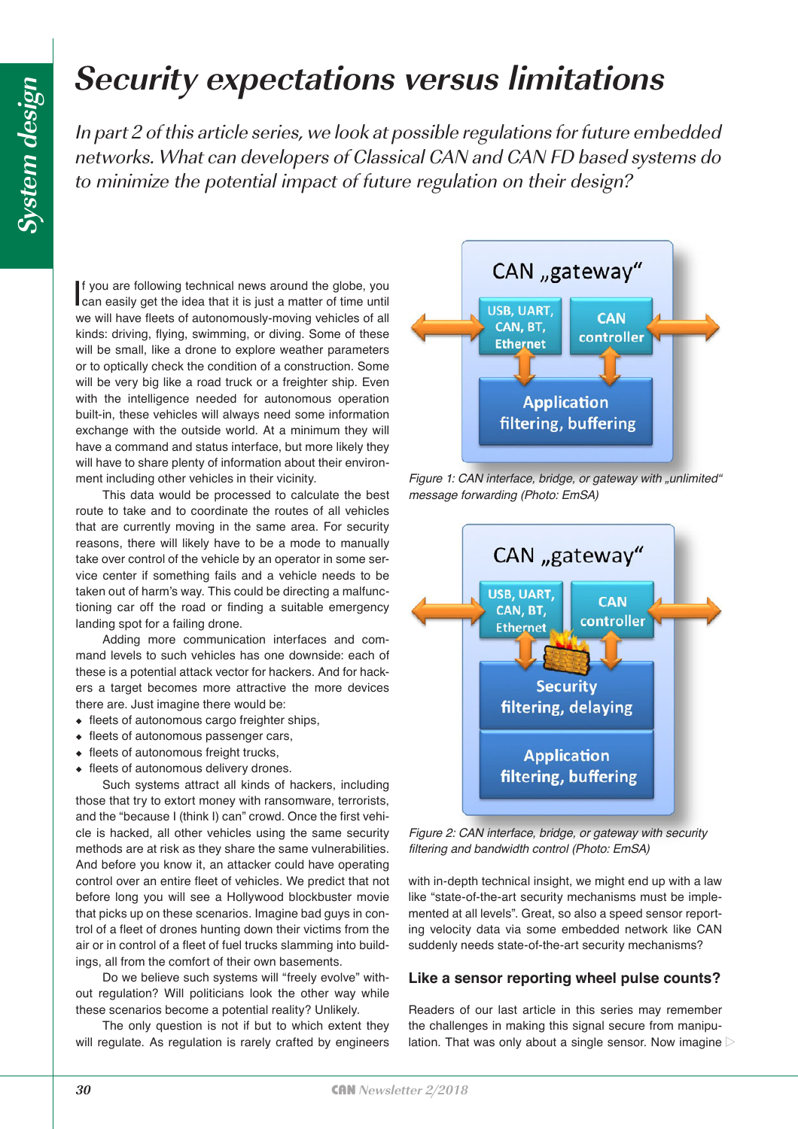# **Security expectations versus limitations**

In part 2 of this article series, we look at possible regulations for future embedded networks. What can developers of Classical CAN and CAN FD based systems do to minimize the potential impact of future regulation on their design?

If you are following technical news around the globe, you can easily get the idea that it is just a matter of time until f you are following technical news around the globe, you we will have fleets of autonomously-moving vehicles of all kinds: driving, flying, swimming, or diving. Some of these will be small, like a drone to explore weather parameters or to optically check the condition of a construction. Some will be very big like a road truck or a freighter ship. Even with the intelligence needed for autonomous operation built-in, these vehicles will always need some information exchange with the outside world. At a minimum they will have a command and status interface, but more likely they will have to share plenty of information about their environment including other vehicles in their vicinity.

This data would be processed to calculate the best route to take and to coordinate the routes of all vehicles that are currently moving in the same area. For security reasons, there will likely have to be a mode to manually take over control of the vehicle by an operator in some service center if something fails and a vehicle needs to be taken out of harm's way. This could be directing a malfunctioning car off the road or finding a suitable emergency landing spot for a failing drone.

Adding more communication interfaces and command levels to such vehicles has one downside: each of these is a potential attack vector for hackers. And for hackers a target becomes more attractive the more devices there are. Just imagine there would be:

- ◆ fleets of autonomous cargo freighter ships,
- ◆ fleets of autonomous passenger cars,
- ◆ fleets of autonomous freight trucks,
- ◆ fleets of autonomous delivery drones.

Such systems attract all kinds of hackers, including those that try to extort money with ransomware, terrorists, and the "because I (think I) can" crowd. Once the first vehicle is hacked, all other vehicles using the same security methods are at risk as they share the same vulnerabilities. And before you know it, an attacker could have operating control over an entire fleet of vehicles. We predict that not before long you will see a Hollywood blockbuster movie that picks up on these scenarios. Imagine bad guys in control of a fleet of drones hunting down their victims from the air or in control of a fleet of fuel trucks slamming into buildings, all from the comfort of their own basements.

Do we believe such systems will "freely evolve" without regulation? Will politicians look the other way while these scenarios become a potential reality? Unlikely.

The only question is not if but to which extent they will regulate. As regulation is rarely crafted by engineers



Figure 1: CAN interface, bridge, or gateway with "unlimited" *message forwarding (Photo: EmSA)*



*Figure 2: CAN interface, bridge, or gateway with security filtering and bandwidth control (Photo: EmSA)*

with in-depth technical insight, we might end up with a law like "state-of-the-art security mechanisms must be implemented at all levels". Great, so also a speed sensor reporting velocity data via some embedded network like CAN suddenly needs state-of-the-art security mechanisms?

### **Like a sensor reporting wheel pulse counts?**

Readers of our last article in this series may remember the challenges in making this signal secure from manipulation. That was only about a single sensor. Now imagine  $\triangleright$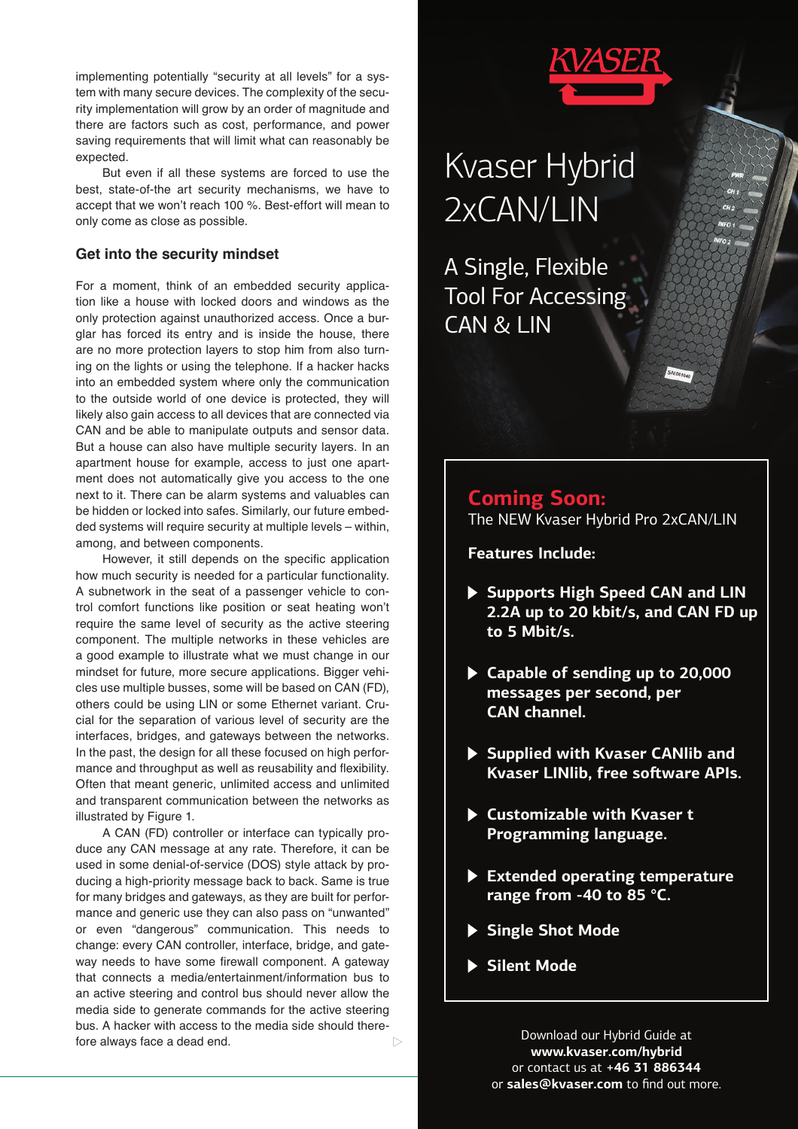implementing potentially "security at all levels" for a system with many secure devices. The complexity of the security implementation will grow by an order of magnitude and there are factors such as cost, performance, and power saving requirements that will limit what can reasonably be expected.

But even if all these systems are forced to use the best, state-of-the art security mechanisms, we have to accept that we won't reach 100 %. Best-effort will mean to only come as close as possible.

#### **Get into the security mindset**

For a moment, think of an embedded security application like a house with locked doors and windows as the only protection against unauthorized access. Once a burglar has forced its entry and is inside the house, there are no more protection layers to stop him from also turning on the lights or using the telephone. If a hacker hacks into an embedded system where only the communication to the outside world of one device is protected, they will likely also gain access to all devices that are connected via CAN and be able to manipulate outputs and sensor data. But a house can also have multiple security layers. In an apartment house for example, access to just one apartment does not automatically give you access to the one next to it. There can be alarm systems and valuables can be hidden or locked into safes. Similarly, our future embedded systems will require security at multiple levels – within, among, and between components.

However, it still depends on the specific application how much security is needed for a particular functionality. A subnetwork in the seat of a passenger vehicle to control comfort functions like position or seat heating won't require the same level of security as the active steering component. The multiple networks in these vehicles are a good example to illustrate what we must change in our mindset for future, more secure applications. Bigger vehicles use multiple busses, some will be based on CAN (FD), others could be using LIN or some Ethernet variant. Crucial for the separation of various level of security are the interfaces, bridges, and gateways between the networks. In the past, the design for all these focused on high performance and throughput as well as reusability and flexibility. Often that meant generic, unlimited access and unlimited and transparent communication between the networks as illustrated by Figure 1.

A CAN (FD) controller or interface can typically produce any CAN message at any rate. Therefore, it can be used in some denial-of-service (DOS) style attack by producing a high-priority message back to back. Same is true for many bridges and gateways, as they are built for performance and generic use they can also pass on "unwanted" or even "dangerous" communication. This needs to change: every CAN controller, interface, bridge, and gateway needs to have some firewall component. A gateway that connects a media/entertainment/information bus to an active steering and control bus should never allow the media side to generate commands for the active steering bus. A hacker with access to the media side should therefore always face a dead end. $\triangleright$ 

# Kvaser Hybrid 2xCAN/LIN

A Single, Flexible Tool For Accessing CAN & LIN

# **Coming Soon:** The NEW Kvaser Hybrid Pro 2xCAN/LIN

**Features Include:**

- **Supports High Speed CAN and LIN 2.2A up to 20 kbit/s, and CAN FD up to 5 Mbit/s.**
- **Capable of sending up to 20,000 messages per second, per CAN channel.**
- **Supplied with Kvaser CANlib and Kyaser LINIib, free software APIs.**
- **Customizable with Kvaser t Programming language.**
- **Extended operating temperature range from -40 to 85 °C.**
- **Single Shot Mode**
- **Silent Mode**

Download our Hybrid Guide at **www.kvaser.com/hybrid** or contact us at **+46 31 886344**  or **sales@kvaser.com** to find out more.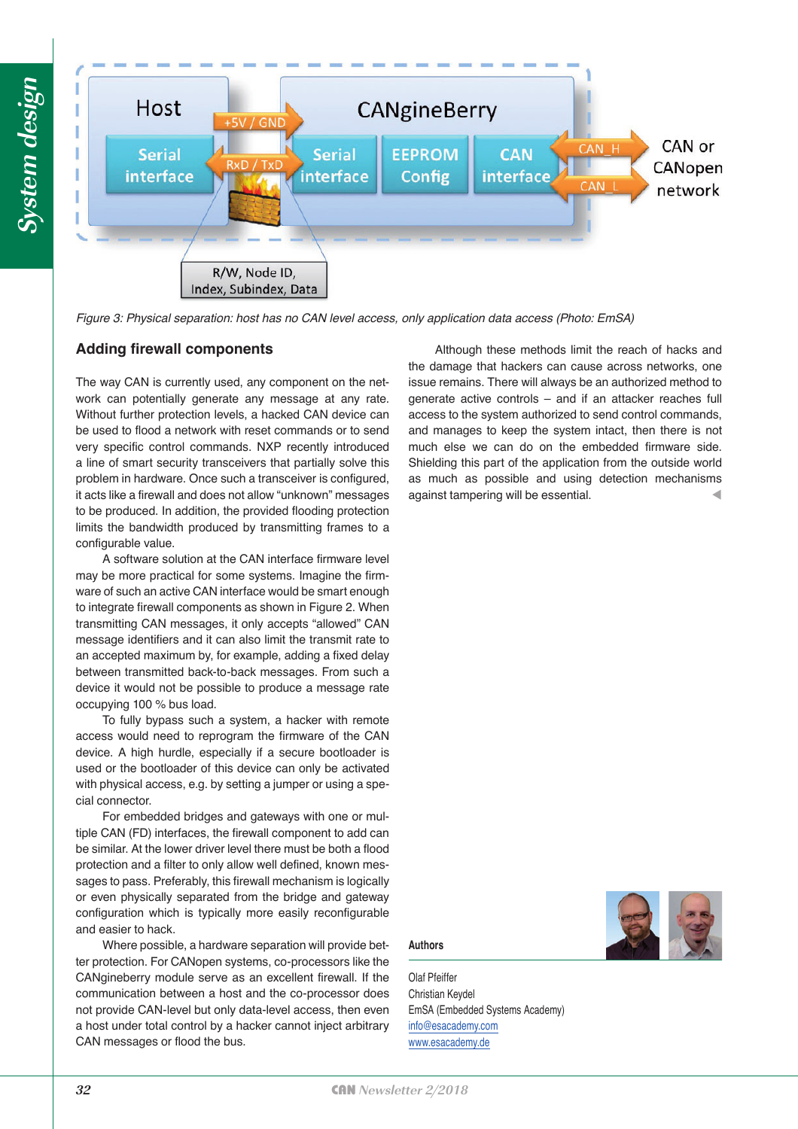

*Figure 3: Physical separation: host has no CAN level access, only application data access (Photo: EmSA)*

### **Adding firewall components**

The way CAN is currently used, any component on the network can potentially generate any message at any rate. Without further protection levels, a hacked CAN device can be used to flood a network with reset commands or to send very specific control commands. NXP recently introduced a line of smart security transceivers that partially solve this problem in hardware. Once such a transceiver is configured, it acts like a firewall and does not allow "unknown" messages to be produced. In addition, the provided flooding protection limits the bandwidth produced by transmitting frames to a configurable value.

A software solution at the CAN interface firmware level may be more practical for some systems. Imagine the firmware of such an active CAN interface would be smart enough to integrate firewall components as shown in Figure 2. When transmitting CAN messages, it only accepts "allowed" CAN message identifiers and it can also limit the transmit rate to an accepted maximum by, for example, adding a fixed delay between transmitted back-to-back messages. From such a device it would not be possible to produce a message rate occupying 100 % bus load.

To fully bypass such a system, a hacker with remote access would need to reprogram the firmware of the CAN device. A high hurdle, especially if a secure bootloader is used or the bootloader of this device can only be activated with physical access, e.g. by setting a jumper or using a special connector.

For embedded bridges and gateways with one or multiple CAN (FD) interfaces, the firewall component to add can be similar. At the lower driver level there must be both a flood protection and a filter to only allow well defined, known messages to pass. Preferably, this firewall mechanism is logically or even physically separated from the bridge and gateway configuration which is typically more easily reconfigurable and easier to hack.

Where possible, a hardware separation will provide better protection. For CANopen systems, co-processors like the CANgineberry module serve as an excellent firewall. If the communication between a host and the co-processor does not provide CAN-level but only data-level access, then even a host under total control by a hacker cannot inject arbitrary CAN messages or flood the bus.

Although these methods limit the reach of hacks and the damage that hackers can cause across networks, one issue remains. There will always be an authorized method to generate active controls – and if an attacker reaches full access to the system authorized to send control commands, and manages to keep the system intact, then there is not much else we can do on the embedded firmware side. Shielding this part of the application from the outside world as much as possible and using detection mechanisms against tampering will be essential.

## **Authors**

Olaf Pfeiffer Christian Keydel EmSA (Embedded Systems Academy) [info@esacademy.com](mailto:@esacademy.com) [www.esacademy.de](http://www.esacademy.de)